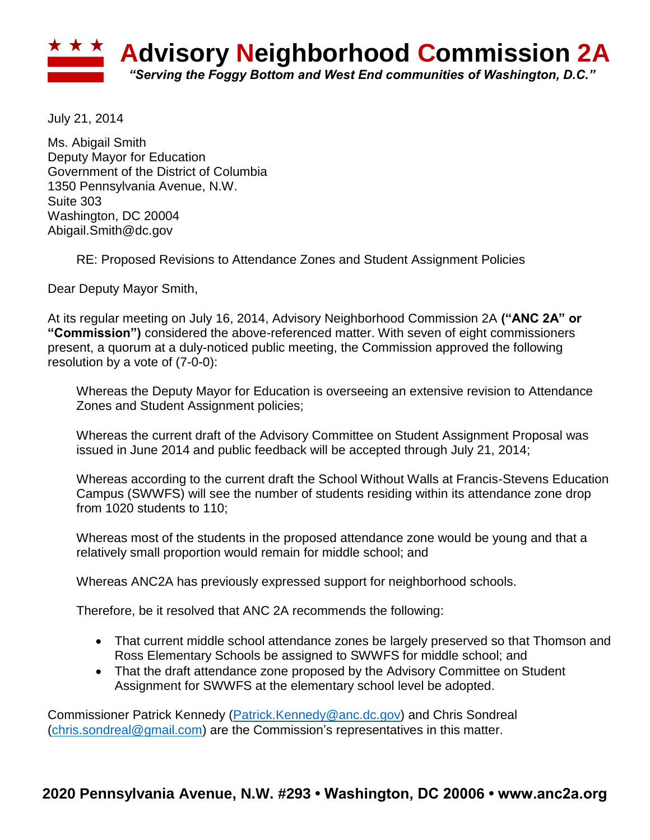

July 21, 2014

Ms. Abigail Smith Deputy Mayor for Education Government of the District of Columbia 1350 Pennsylvania Avenue, N.W. Suite 303 Washington, DC 20004 Abigail.Smith@dc.gov

RE: Proposed Revisions to Attendance Zones and Student Assignment Policies

Dear Deputy Mayor Smith,

At its regular meeting on July 16, 2014, Advisory Neighborhood Commission 2A **("ANC 2A" or "Commission")** considered the above-referenced matter. With seven of eight commissioners present, a quorum at a duly-noticed public meeting, the Commission approved the following resolution by a vote of (7-0-0):

Whereas the Deputy Mayor for Education is overseeing an extensive revision to Attendance Zones and Student Assignment policies;

Whereas the current draft of the Advisory Committee on Student Assignment Proposal was issued in June 2014 and public feedback will be accepted through July 21, 2014;

Whereas according to the current draft the School Without Walls at Francis-Stevens Education Campus (SWWFS) will see the number of students residing within its attendance zone drop from 1020 students to 110;

Whereas most of the students in the proposed attendance zone would be young and that a relatively small proportion would remain for middle school; and

Whereas ANC2A has previously expressed support for neighborhood schools.

Therefore, be it resolved that ANC 2A recommends the following:

- That current middle school attendance zones be largely preserved so that Thomson and Ross Elementary Schools be assigned to SWWFS for middle school; and
- That the draft attendance zone proposed by the Advisory Committee on Student Assignment for SWWFS at the elementary school level be adopted.

Commissioner Patrick Kennedy [\(Patrick.Kennedy@anc.dc.gov\)](mailto:Patrick.Kennedy@anc.dc.gov) and Chris Sondreal [\(chris.sondreal@gmail.com\)](mailto:chris.sondreal@gmail.com) are the Commission's representatives in this matter.